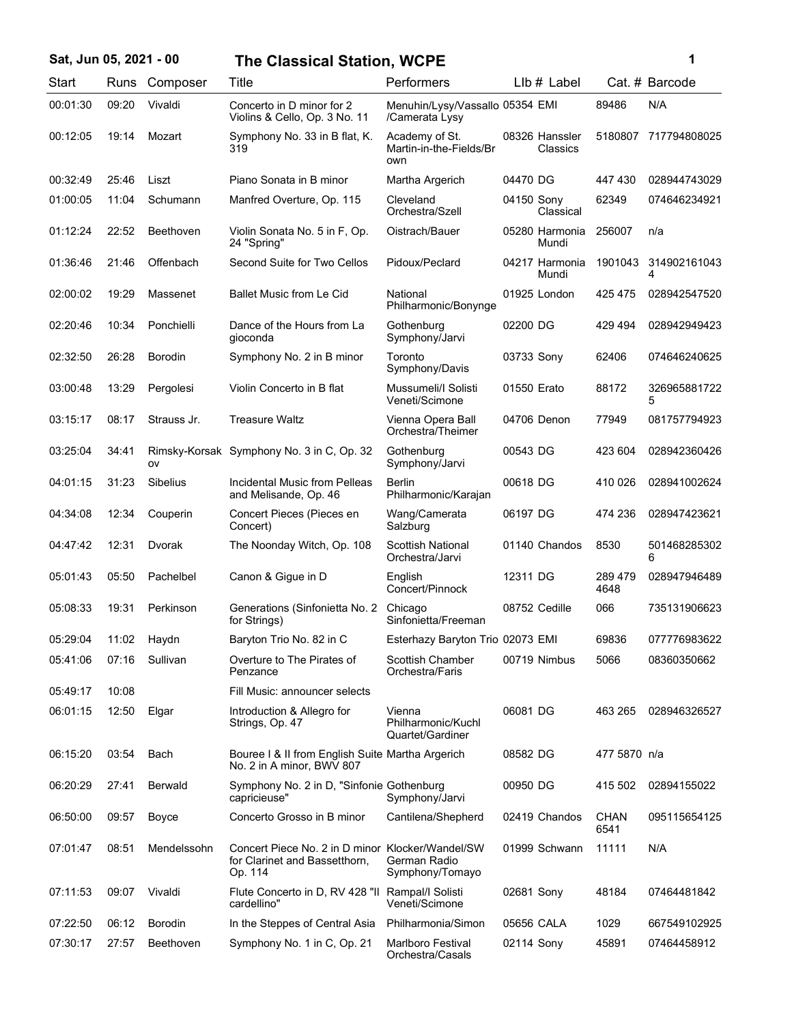| Sat, Jun 05, 2021 - 00 |       |                  | <b>The Classical Station, WCPE</b>                                                           |                                                   |                            |                     | 1                 |
|------------------------|-------|------------------|----------------------------------------------------------------------------------------------|---------------------------------------------------|----------------------------|---------------------|-------------------|
| Start                  | Runs  | Composer         | Title                                                                                        | Performers                                        | $Llb#$ Label               |                     | Cat. # Barcode    |
| 00:01:30               | 09:20 | Vivaldi          | Concerto in D minor for 2<br>Violins & Cello, Op. 3 No. 11                                   | Menuhin/Lysy/Vassallo 05354 EMI<br>/Camerata Lysy |                            | 89486               | N/A               |
| 00:12:05               | 19:14 | Mozart           | Symphony No. 33 in B flat, K.<br>319                                                         | Academy of St.<br>Martin-in-the-Fields/Br<br>own  | 08326 Hanssler<br>Classics | 5180807             | 717794808025      |
| 00:32:49               | 25:46 | Liszt            | Piano Sonata in B minor                                                                      | Martha Argerich                                   | 04470 DG                   | 447430              | 028944743029      |
| 01:00:05               | 11:04 | Schumann         | Manfred Overture, Op. 115                                                                    | Cleveland<br>Orchestra/Szell                      | 04150 Sony<br>Classical    | 62349               | 074646234921      |
| 01:12:24               | 22:52 | <b>Beethoven</b> | Violin Sonata No. 5 in F, Op.<br>24 "Spring"                                                 | Oistrach/Bauer                                    | 05280 Harmonia<br>Mundi    | 256007              | n/a               |
| 01:36:46               | 21:46 | Offenbach        | Second Suite for Two Cellos                                                                  | Pidoux/Peclard                                    | 04217 Harmonia<br>Mundi    | 1901043             | 314902161043<br>4 |
| 02:00:02               | 19:29 | Massenet         | <b>Ballet Music from Le Cid</b>                                                              | National<br>Philharmonic/Bonynge                  | 01925 London               | 425 475             | 028942547520      |
| 02:20:46               | 10:34 | Ponchielli       | Dance of the Hours from La<br>gioconda                                                       | Gothenburg<br>Symphony/Jarvi                      | 02200 DG                   | 429 494             | 028942949423      |
| 02:32:50               | 26:28 | <b>Borodin</b>   | Symphony No. 2 in B minor                                                                    | Toronto<br>Symphony/Davis                         | 03733 Sony                 | 62406               | 074646240625      |
| 03:00:48               | 13:29 | Pergolesi        | Violin Concerto in B flat                                                                    | Mussumeli/I Solisti<br>Veneti/Scimone             | 01550 Erato                | 88172               | 326965881722<br>5 |
| 03:15:17               | 08:17 | Strauss Jr.      | <b>Treasure Waltz</b>                                                                        | Vienna Opera Ball<br>Orchestra/Theimer            | 04706 Denon                | 77949               | 081757794923      |
| 03:25:04               | 34:41 | ov               | Rimsky-Korsak Symphony No. 3 in C, Op. 32                                                    | Gothenburg<br>Symphony/Jarvi                      | 00543 DG                   | 423 604             | 028942360426      |
| 04:01:15               | 31:23 | <b>Sibelius</b>  | Incidental Music from Pelleas<br>and Melisande, Op. 46                                       | Berlin<br>Philharmonic/Karajan                    | 00618 DG                   | 410 026             | 028941002624      |
| 04:34:08               | 12:34 | Couperin         | Concert Pieces (Pieces en<br>Concert)                                                        | Wang/Camerata<br>Salzburg                         | 06197 DG                   | 474 236             | 028947423621      |
| 04:47:42               | 12:31 | Dvorak           | The Noonday Witch, Op. 108                                                                   | Scottish National<br>Orchestra/Jarvi              | 01140 Chandos              | 8530                | 501468285302<br>6 |
| 05:01:43               | 05:50 | Pachelbel        | Canon & Gigue in D                                                                           | English<br>Concert/Pinnock                        | 12311 DG                   | 289 479<br>4648     | 028947946489      |
| 05:08:33               | 19:31 | Perkinson        | Generations (Sinfonietta No. 2<br>for Strings)                                               | Chicago<br>Sinfonietta/Freeman                    | 08752 Cedille              | 066                 | 735131906623      |
| 05:29:04               | 11:02 | Haydn            | Baryton Trio No. 82 in C                                                                     | Esterhazy Baryton Trio 02073 EMI                  |                            | 69836               | 077776983622      |
| 05:41:06               | 07:16 | Sullivan         | Overture to The Pirates of<br>Penzance                                                       | Scottish Chamber<br>Orchestra/Faris               | 00719 Nimbus               | 5066                | 08360350662       |
| 05:49:17               | 10:08 |                  | Fill Music: announcer selects                                                                |                                                   |                            |                     |                   |
| 06:01:15               | 12:50 | Elgar            | Introduction & Allegro for<br>Strings, Op. 47                                                | Vienna<br>Philharmonic/Kuchl<br>Quartet/Gardiner  | 06081 DG                   | 463 265             | 028946326527      |
| 06:15:20               | 03:54 | Bach             | Bouree I & II from English Suite Martha Argerich<br>No. 2 in A minor, BWV 807                |                                                   | 08582 DG                   | 477 5870 n/a        |                   |
| 06:20:29               | 27:41 | <b>Berwald</b>   | Symphony No. 2 in D, "Sinfonie Gothenburg<br>capricieuse"                                    | Symphony/Jarvi                                    | 00950 DG                   | 415 502             | 02894155022       |
| 06:50:00               | 09:57 | Boyce            | Concerto Grosso in B minor                                                                   | Cantilena/Shepherd                                | 02419 Chandos              | <b>CHAN</b><br>6541 | 095115654125      |
| 07:01:47               | 08:51 | Mendelssohn      | Concert Piece No. 2 in D minor Klocker/Wandel/SW<br>for Clarinet and Bassetthorn,<br>Op. 114 | German Radio<br>Symphony/Tomayo                   | 01999 Schwann              | 11111               | N/A               |
| 07:11:53               | 09:07 | Vivaldi          | Flute Concerto in D, RV 428 "Il Rampal/I Solisti<br>cardellino"                              | Veneti/Scimone                                    | 02681 Sony                 | 48184               | 07464481842       |
| 07:22:50               | 06:12 | <b>Borodin</b>   | In the Steppes of Central Asia                                                               | Philharmonia/Simon                                | 05656 CALA                 | 1029                | 667549102925      |
| 07:30:17               | 27:57 | Beethoven        | Symphony No. 1 in C, Op. 21                                                                  | Marlboro Festival<br>Orchestra/Casals             | 02114 Sony                 | 45891               | 07464458912       |